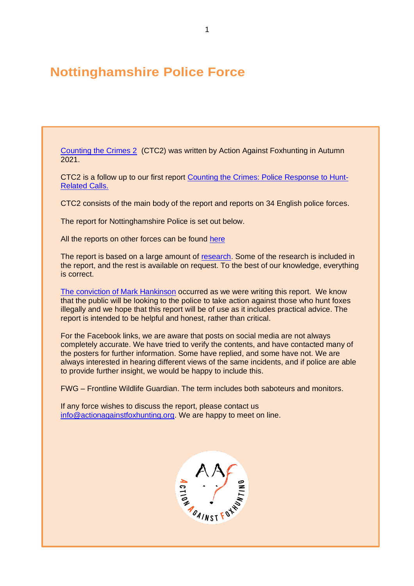# **Nottinghamshire Police Force**

[Counting the Crimes 2](https://www.actionagainstfoxhunting.org/counting-the-crimes2-the-police-response/) (CTC2) was written by Action Against Foxhunting in Autumn 2021.

CTC2 is a follow up to our first report [Counting the Crimes: Police Response to Hunt-](https://www.actionagainstfoxhunting.org/counting-the-crimes/)[Related Calls.](https://www.actionagainstfoxhunting.org/counting-the-crimes/)

CTC2 consists of the main body of the report and reports on 34 English police forces.

The report for Nottinghamshire Police is set out below.

All the reports on other forces can be found [here](https://www.actionagainstfoxhunting.org/counting-the-crimes2-the-police-response/)

The report is based on a large amount of [research.](https://www.actionagainstfoxhunting.org/wp-content/uploads/2021/11/A-1411-Research-for-CTC2.pdf) Some of the research is included in the report, and the rest is available on request. To the best of our knowledge, everything is correct.

[The conviction of Mark Hankinson](https://www.league.org.uk/news-and-resources/news/hunting-office-webinars-the-road-to-conviction/) occurred as we were writing this report. We know that the public will be looking to the police to take action against those who hunt foxes illegally and we hope that this report will be of use as it includes practical advice. The report is intended to be helpful and honest, rather than critical.

For the Facebook links, we are aware that posts on social media are not always completely accurate. We have tried to verify the contents, and have contacted many of the posters for further information. Some have replied, and some have not. We are always interested in hearing different views of the same incidents, and if police are able to provide further insight, we would be happy to include this.

FWG – Frontline Wildlife Guardian. The term includes both saboteurs and monitors.

If any force wishes to discuss the report, please contact us [info@actionagainstfoxhunting.org.](mailto:info@actionagainstfoxhunting.org) We are happy to meet on line.

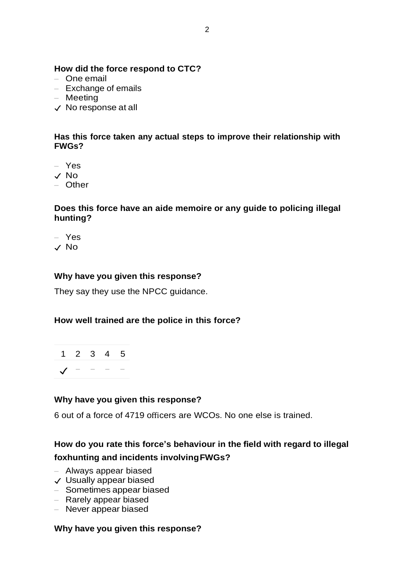# **How did the force respond to CTC?**

- One email
- Exchange of emails
- Meeting
- ✓ No response at all

### **Has this force taken any actual steps to improve their relationship with FWGs?**

- Yes
- ✓ No
- Other

## **Does this force have an aide memoire or any guide to policing illegal hunting?**

– Yes ✓ No

# **Why have you given this response?**

They say they use the NPCC guidance.

# **How well trained are the police in this force?**

|                  |  | $1\ 2\ 3\ 4\ 5$ |
|------------------|--|-----------------|
| $\sqrt{ }$ - - - |  |                 |

# **Why have you given this response?**

6 out of a force of 4719 officers are WCOs. No one else is trained.

# **How do you rate this force's behaviour in the field with regard to illegal foxhunting and incidents involvingFWGs?**

- Always appear biased
- ✓ Usually appear biased
- Sometimes appear biased
- Rarely appear biased
- Never appear biased

#### **Why have you given this response?**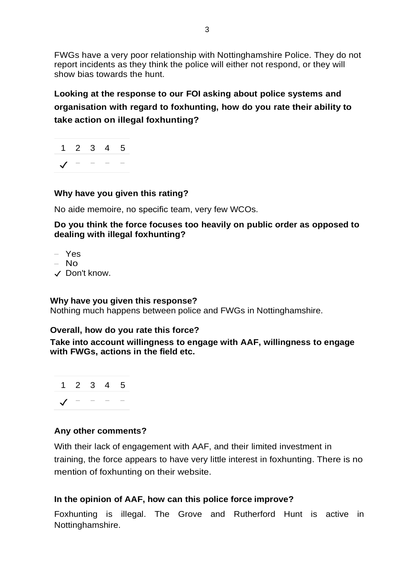FWGs have a very poor relationship with Nottinghamshire Police. They do not report incidents as they think the police will either not respond, or they will show bias towards the hunt.

**Looking at the response to our FOI asking about police systems and organisation with regard to foxhunting, how do you rate their ability to take action on illegal foxhunting?**



# **Why have you given this rating?**

No aide memoire, no specific team, very few WCOs.

**Do you think the force focuses too heavily on public order as opposed to dealing with illegal foxhunting?**

- Yes
- No
- ✓ Don't know.

# **Why have you given this response?**

Nothing much happens between police and FWGs in Nottinghamshire.

# **Overall, how do you rate this force?**

**Take into account willingness to engage with AAF, willingness to engage with FWGs, actions in the field etc.**



# **Any other comments?**

With their lack of engagement with AAF, and their limited investment in training, the force appears to have very little interest in foxhunting. There is no mention of foxhunting on their website.

# **In the opinion of AAF, how can this police force improve?**

Foxhunting is illegal. The Grove and Rutherford Hunt is active in Nottinghamshire.